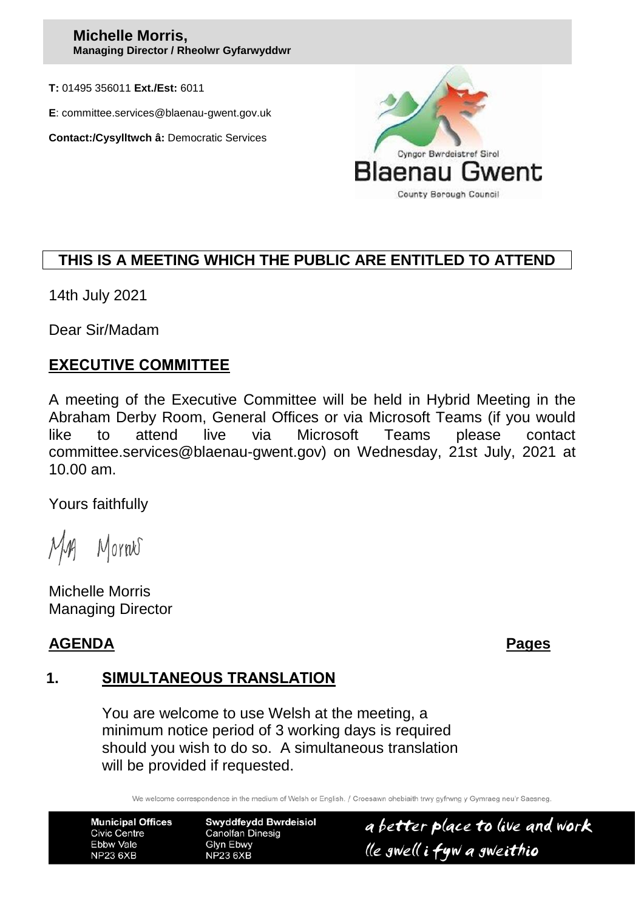#### **Michelle Morris, Managing Director / Rheolwr Gyfarwyddwr**

**T:** 01495 356011 **Ext./Est:** 6011

**E**: committee.services@blaenau-gwent.gov.uk

**Contact:/Cysylltwch â:** Democratic Services



# **THIS IS A MEETING WHICH THE PUBLIC ARE ENTITLED TO ATTEND**

14th July 2021

Dear Sir/Madam

#### **EXECUTIVE COMMITTEE**

A meeting of the Executive Committee will be held in Hybrid Meeting in the Abraham Derby Room, General Offices or via Microsoft Teams (if you would like to attend live via Microsoft Teams please contact committee.services@blaenau-gwent.gov) on Wednesday, 21st July, 2021 at 10.00 am.

Yours faithfully

Mornes

Michelle Morris Managing Director

## **AGENDA Pages**

#### **1. SIMULTANEOUS TRANSLATION**

You are welcome to use Welsh at the meeting, a minimum notice period of 3 working days is required should you wish to do so. A simultaneous translation will be provided if requested.

We welcome correspondence in the medium of Welsh or English. / Croesawn ohebiaith trwy gyfrwng y Gymraeg neu'r Saesneg

**Municipal Offices Civic Centre** Ebbw Vale **NP23 6XB** 

**Swyddfeydd Bwrdeisiol Canolfan Dinesig** Glyn Ebwy **NP23 6XB** 

a better place to live and work lle gwell i fyw a gweithio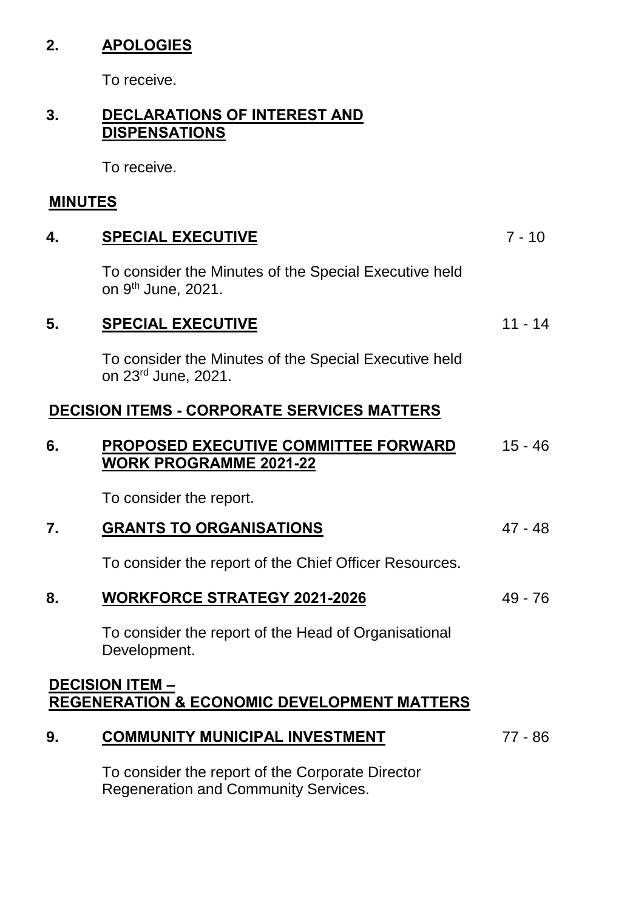# **2. APOLOGIES**

To receive.

### **3. DECLARATIONS OF INTEREST AND DISPENSATIONS**

To receive.

# **MINUTES**

| 4. | <b>SPECIAL EXECUTIVE</b>                                                                 | $7 - 10$  |
|----|------------------------------------------------------------------------------------------|-----------|
|    | To consider the Minutes of the Special Executive held<br>on 9 <sup>th</sup> June, 2021.  |           |
| 5. | <b>SPECIAL EXECUTIVE</b>                                                                 | $11 - 14$ |
|    | To consider the Minutes of the Special Executive held<br>on 23 <sup>rd</sup> June, 2021. |           |
|    | <b>DECISION ITEMS - CORPORATE SERVICES MATTERS</b>                                       |           |
| 6. | PROPOSED EXECUTIVE COMMITTEE FORWARD<br><b>WORK PROGRAMME 2021-22</b>                    | $15 - 46$ |
|    | To consider the report.                                                                  |           |
| 7. | <b>GRANTS TO ORGANISATIONS</b>                                                           | $47 - 48$ |
|    | To consider the report of the Chief Officer Resources.                                   |           |
| 8. | <b>WORKFORCE STRATEGY 2021-2026</b>                                                      | $49 - 76$ |
|    | To consider the report of the Head of Organisational<br>Development.                     |           |
|    | <b>DECISION ITEM -</b>                                                                   |           |
|    | <b>REGENERATION &amp; ECONOMIC DEVELOPMENT MATTERS</b>                                   |           |
| 9. | <b>COMMUNITY MUNICIPAL INVESTMENT</b>                                                    | $77 - 86$ |
|    | To consider the report of the Corporate Director                                         |           |

To consider the report of the Corporate Director Regeneration and Community Services.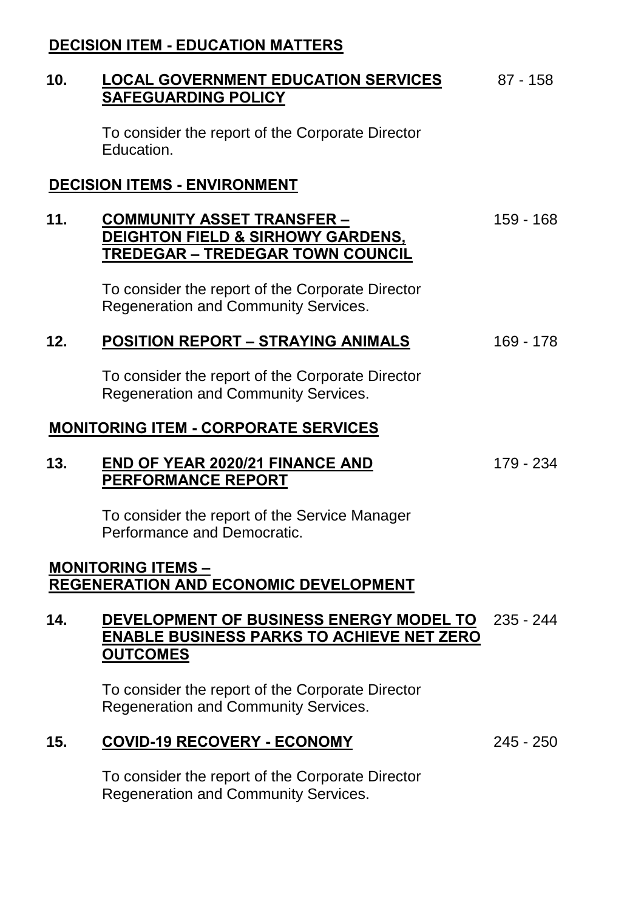## **DECISION ITEM - EDUCATION MATTERS**

#### **10. LOCAL GOVERNMENT EDUCATION SERVICES SAFEGUARDING POLICY** 87 - 158

To consider the report of the Corporate Director Education.

#### **DECISION ITEMS - ENVIRONMENT**

#### **11. COMMUNITY ASSET TRANSFER – DEIGHTON FIELD & SIRHOWY GARDENS, TREDEGAR – TREDEGAR TOWN COUNCIL** 159 - 168

To consider the report of the Corporate Director Regeneration and Community Services.

#### **12. POSITION REPORT – STRAYING ANIMALS** 169 - 178

To consider the report of the Corporate Director Regeneration and Community Services.

#### **MONITORING ITEM - CORPORATE SERVICES**

#### **13. END OF YEAR 2020/21 FINANCE AND PERFORMANCE REPORT**

179 - 234

To consider the report of the Service Manager Performance and Democratic.

#### **MONITORING ITEMS – REGENERATION AND ECONOMIC DEVELOPMENT**

### **14. DEVELOPMENT OF BUSINESS ENERGY MODEL TO** 235 - 244 **ENABLE BUSINESS PARKS TO ACHIEVE NET ZERO OUTCOMES**

To consider the report of the Corporate Director Regeneration and Community Services.

# **15. COVID-19 RECOVERY - ECONOMY** 245 - 250

To consider the report of the Corporate Director Regeneration and Community Services.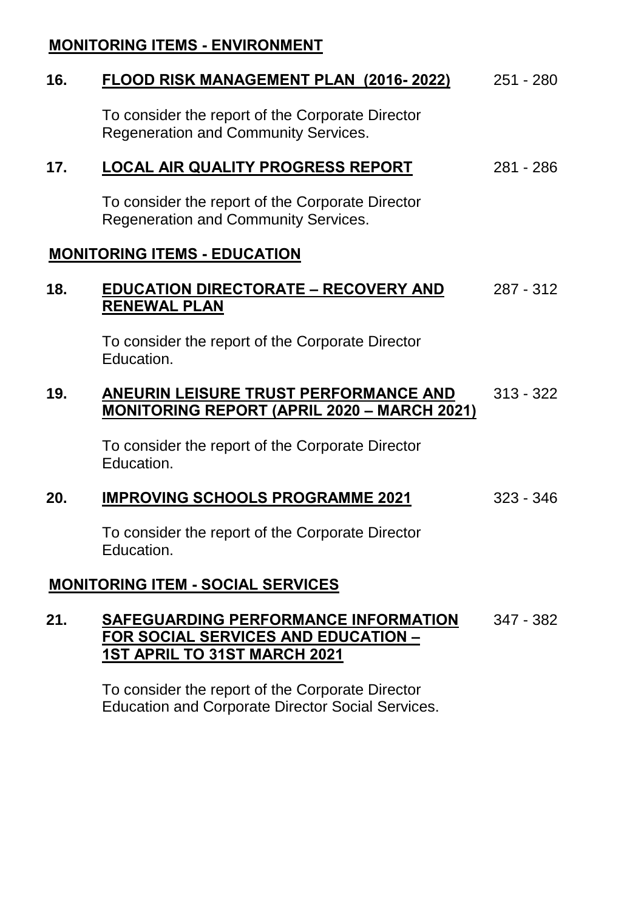### **MONITORING ITEMS - ENVIRONMENT**

#### **16. FLOOD RISK MANAGEMENT PLAN (2016- 2022)** 251 - 280

To consider the report of the Corporate Director Regeneration and Community Services.

### **17. LOCAL AIR QUALITY PROGRESS REPORT** 281 - 286

To consider the report of the Corporate Director Regeneration and Community Services.

#### **MONITORING ITEMS - EDUCATION**

#### **18. EDUCATION DIRECTORATE – RECOVERY AND RENEWAL PLAN** 287 - 312

To consider the report of the Corporate Director Education.

#### **19. ANEURIN LEISURE TRUST PERFORMANCE AND MONITORING REPORT (APRIL 2020 – MARCH 2021)** 313 - 322

To consider the report of the Corporate Director Education.

#### **20. IMPROVING SCHOOLS PROGRAMME 2021** 323 - 346

To consider the report of the Corporate Director Education.

#### **MONITORING ITEM - SOCIAL SERVICES**

#### **21. SAFEGUARDING PERFORMANCE INFORMATION FOR SOCIAL SERVICES AND EDUCATION – 1ST APRIL TO 31ST MARCH 2021** 347 - 382

To consider the report of the Corporate Director Education and Corporate Director Social Services.